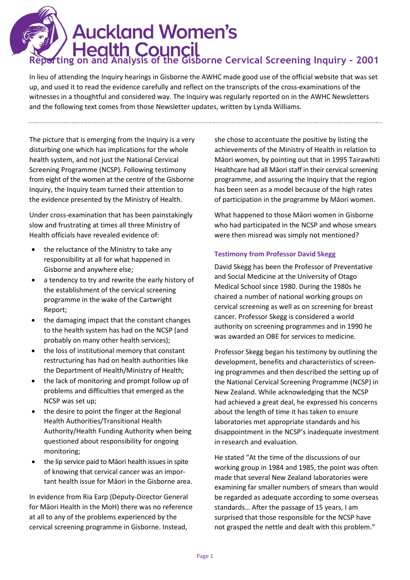# **Auckland Women's** i **Reporting on and Analysis of the Gisborne Cervical Screening Inquiry - 2001**

In lieu of attending the Inquiry hearings in Gisborne the AWHC made good use of the official website that was set up, and used it to read the evidence carefully and reflect on the transcripts of the cross-examinations of the witnesses in a thoughtful and considered way. The Inquiry was regularly reported on in the AWHC Newsletters and the following text comes from those Newsletter updates, written by Lynda Williams.

The picture that is emerging from the Inquiry is a very disturbing one which has implications for the whole health system, and not just the National Cervical Screening Programme (NCSP). Following testimony from eight of the women at the centre of the Gisborne Inquiry, the Inquiry team turned their attention to the evidence presented by the Ministry of Health.

Under cross-examination that has been painstakingly slow and frustrating at times all three Ministry of Health officials have revealed evidence of:

- the reluctance of the Ministry to take any responsibility at all for what happened in Gisborne and anywhere else;
- a tendency to try and rewrite the early history of the establishment of the cervical screening programme in the wake of the Cartwright Report;
- the damaging impact that the constant changes to the health system has had on the NCSP (and probably on many other health services);
- the loss of institutional memory that constant restructuring has had on health authorities like the Department of Health/Ministry of Health;
- the lack of monitoring and prompt follow up of problems and difficulties that emerged as the NCSP was set up;
- the desire to point the finger at the Regional Health Authorities/Transitional Health Authority/Health Funding Authority when being questioned about responsibility for ongoing monitoring;
- the lip service paid to Māori health issues in spite of knowing that cervical cancer was an important health issue for Māori in the Gisborne area.

In evidence from Ria Earp (Deputy-Director General for Māori Health in the MoH) there was no reference at all to any of the problems experienced by the cervical screening programme in Gisborne. Instead,

she chose to accentuate the positive by listing the achievements of the Ministry of Health in relation to Māori women, by pointing out that in 1995 Tairawhiti Healthcare had all Māori staff in their cervical screening programme, and assuring the Inquiry that the region has been seen as a model because of the high rates of participation in the programme by Māori women.

What happened to those Māori women in Gisborne who had participated in the NCSP and whose smears were then misread was simply not mentioned?

# **Testimony from Professor David Skegg**

David Skegg has been the Professor of Preventative and Social Medicine at the University of Otago Medical School since 1980. During the 1980s he chaired a number of national working groups on cervical screening as well as on screening for breast cancer. Professor Skegg is considered a world authority on screening programmes and in 1990 he was awarded an OBE for services to medicine.

Professor Skegg began his testimony by outlining the development, benefits and characteristics of screening programmes and then described the setting up of the National Cervical Screening Programme (NCSP) in New Zealand. While acknowledging that the NCSP had achieved a great deal, he expressed his concerns about the length of time it has taken to ensure laboratories met appropriate standards and his disappointment in the NCSP's inadequate investment in research and evaluation.

He stated "At the time of the discussions of our working group in 1984 and 1985, the point was often made that several New Zealand laboratories were examining far smaller numbers of smears than would be regarded as adequate according to some overseas standards… After the passage of 15 years, I am surprised that those responsible for the NCSP have not grasped the nettle and dealt with this problem."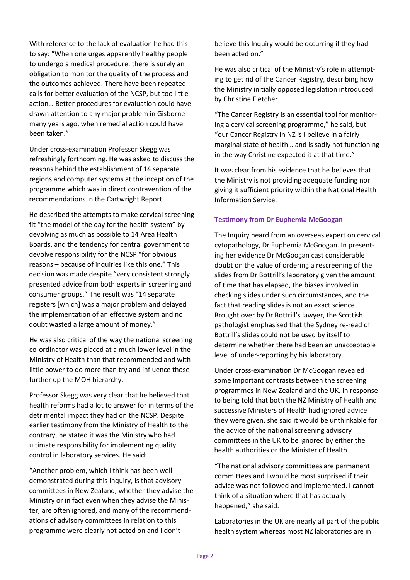With reference to the lack of evaluation he had this to say: "When one urges apparently healthy people to undergo a medical procedure, there is surely an obligation to monitor the quality of the process and the outcomes achieved. There have been repeated calls for better evaluation of the NCSP, but too little action… Better procedures for evaluation could have drawn attention to any major problem in Gisborne many years ago, when remedial action could have been taken."

Under cross-examination Professor Skegg was refreshingly forthcoming. He was asked to discuss the reasons behind the establishment of 14 separate regions and computer systems at the inception of the programme which was in direct contravention of the recommendations in the Cartwright Report.

He described the attempts to make cervical screening fit "the model of the day for the health system" by devolving as much as possible to 14 Area Health Boards, and the tendency for central government to devolve responsibility for the NCSP "for obvious reasons – because of inquiries like this one." This decision was made despite "very consistent strongly presented advice from both experts in screening and consumer groups." The result was "14 separate registers [which] was a major problem and delayed the implementation of an effective system and no doubt wasted a large amount of money."

He was also critical of the way the national screening co-ordinator was placed at a much lower level in the Ministry of Health than that recommended and with little power to do more than try and influence those further up the MOH hierarchy.

Professor Skegg was very clear that he believed that health reforms had a lot to answer for in terms of the detrimental impact they had on the NCSP. Despite earlier testimony from the Ministry of Health to the contrary, he stated it was the Ministry who had ultimate responsibility for implementing quality control in laboratory services. He said:

"Another problem, which I think has been well demonstrated during this Inquiry, is that advisory committees in New Zealand, whether they advise the Ministry or in fact even when they advise the Minister, are often ignored, and many of the recommendations of advisory committees in relation to this programme were clearly not acted on and I don't

believe this Inquiry would be occurring if they had been acted on."

He was also critical of the Ministry's role in attempting to get rid of the Cancer Registry, describing how the Ministry initially opposed legislation introduced by Christine Fletcher.

"The Cancer Registry is an essential tool for monitoring a cervical screening programme," he said, but "our Cancer Registry in NZ is I believe in a fairly marginal state of health… and is sadly not functioning in the way Christine expected it at that time."

It was clear from his evidence that he believes that the Ministry is not providing adequate funding nor giving it sufficient priority within the National Health Information Service.

## **Testimony from Dr Euphemia McGoogan**

The Inquiry heard from an overseas expert on cervical cytopathology, Dr Euphemia McGoogan. In presenting her evidence Dr McGoogan cast considerable doubt on the value of ordering a rescreening of the slides from Dr Bottrill's laboratory given the amount of time that has elapsed, the biases involved in checking slides under such circumstances, and the fact that reading slides is not an exact science. Brought over by Dr Bottrill's lawyer, the Scottish pathologist emphasised that the Sydney re-read of Bottrill's slides could not be used by itself to determine whether there had been an unacceptable level of under-reporting by his laboratory.

Under cross-examination Dr McGoogan revealed some important contrasts between the screening programmes in New Zealand and the UK. In response to being told that both the NZ Ministry of Health and successive Ministers of Health had ignored advice they were given, she said it would be unthinkable for the advice of the national screening advisory committees in the UK to be ignored by either the health authorities or the Minister of Health.

"The national advisory committees are permanent committees and I would be most surprised if their advice was not followed and implemented. I cannot think of a situation where that has actually happened," she said.

Laboratories in the UK are nearly all part of the public health system whereas most NZ laboratories are in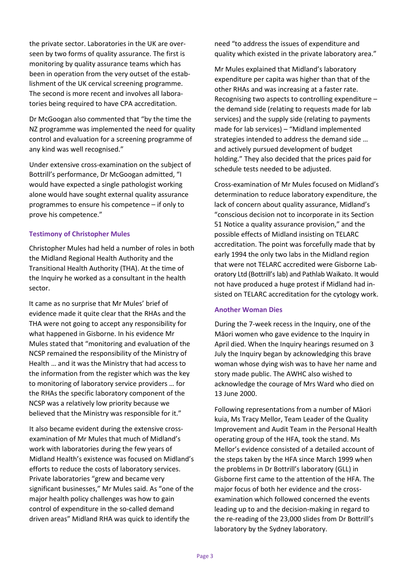the private sector. Laboratories in the UK are overseen by two forms of quality assurance. The first is monitoring by quality assurance teams which has been in operation from the very outset of the establishment of the UK cervical screening programme. The second is more recent and involves all laboratories being required to have CPA accreditation.

Dr McGoogan also commented that "by the time the NZ programme was implemented the need for quality control and evaluation for a screening programme of any kind was well recognised."

Under extensive cross-examination on the subject of Bottrill's performance, Dr McGoogan admitted, "I would have expected a single pathologist working alone would have sought external quality assurance programmes to ensure his competence – if only to prove his competence."

## **Testimony of Christopher Mules**

Christopher Mules had held a number of roles in both the Midland Regional Health Authority and the Transitional Health Authority (THA). At the time of the Inquiry he worked as a consultant in the health sector.

It came as no surprise that Mr Mules' brief of evidence made it quite clear that the RHAs and the THA were not going to accept any responsibility for what happened in Gisborne. In his evidence Mr Mules stated that "monitoring and evaluation of the NCSP remained the responsibility of the Ministry of Health … and it was the Ministry that had access to the information from the register which was the key to monitoring of laboratory service providers … for the RHAs the specific laboratory component of the NCSP was a relatively low priority because we believed that the Ministry was responsible for it."

It also became evident during the extensive crossexamination of Mr Mules that much of Midland's work with laboratories during the few years of Midland Health's existence was focused on Midland's efforts to reduce the costs of laboratory services. Private laboratories "grew and became very significant businesses," Mr Mules said. As "one of the major health policy challenges was how to gain control of expenditure in the so-called demand driven areas" Midland RHA was quick to identify the

need "to address the issues of expenditure and quality which existed in the private laboratory area."

Mr Mules explained that Midland's laboratory expenditure per capita was higher than that of the other RHAs and was increasing at a faster rate. Recognising two aspects to controlling expenditure – the demand side (relating to requests made for lab services) and the supply side (relating to payments made for lab services) – "Midland implemented strategies intended to address the demand side … and actively pursued development of budget holding." They also decided that the prices paid for schedule tests needed to be adjusted.

Cross-examination of Mr Mules focused on Midland's determination to reduce laboratory expenditure, the lack of concern about quality assurance, Midland's "conscious decision not to incorporate in its Section 51 Notice a quality assurance provision," and the possible effects of Midland insisting on TELARC accreditation. The point was forcefully made that by early 1994 the only two labs in the Midland region that were not TELARC accredited were Gisborne Laboratory Ltd (Bottrill's lab) and Pathlab Waikato. It would not have produced a huge protest if Midland had insisted on TELARC accreditation for the cytology work.

## **Another Woman Dies**

During the 7-week recess in the Inquiry, one of the Māori women who gave evidence to the Inquiry in April died. When the Inquiry hearings resumed on 3 July the Inquiry began by acknowledging this brave woman whose dying wish was to have her name and story made public. The AWHC also wished to acknowledge the courage of Mrs Ward who died on 13 June 2000.

Following representations from a number of Māori kuia, Ms Tracy Mellor, Team Leader of the Quality Improvement and Audit Team in the Personal Health operating group of the HFA, took the stand. Ms Mellor's evidence consisted of a detailed account of the steps taken by the HFA since March 1999 when the problems in Dr Bottrill's laboratory (GLL) in Gisborne first came to the attention of the HFA. The major focus of both her evidence and the crossexamination which followed concerned the events leading up to and the decision-making in regard to the re-reading of the 23,000 slides from Dr Bottrill's laboratory by the Sydney laboratory.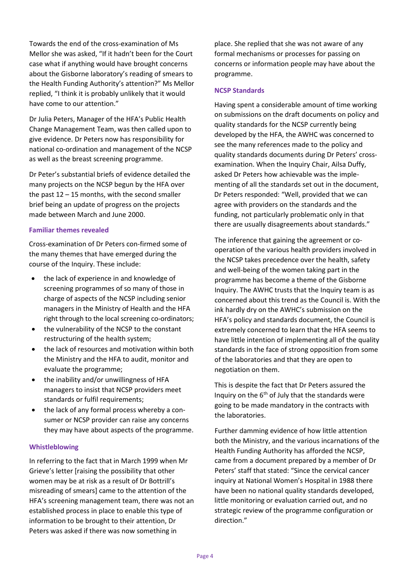Towards the end of the cross-examination of Ms Mellor she was asked, "If it hadn't been for the Court case what if anything would have brought concerns about the Gisborne laboratory's reading of smears to the Health Funding Authority's attention?" Ms Mellor replied, "I think it is probably unlikely that it would have come to our attention."

Dr Julia Peters, Manager of the HFA's Public Health Change Management Team, was then called upon to give evidence. Dr Peters now has responsibility for national co-ordination and management of the NCSP as well as the breast screening programme.

Dr Peter's substantial briefs of evidence detailed the many projects on the NCSP begun by the HFA over the past  $12 - 15$  months, with the second smaller brief being an update of progress on the projects made between March and June 2000.

## **Familiar themes revealed**

Cross-examination of Dr Peters con-firmed some of the many themes that have emerged during the course of the Inquiry. These include:

- the lack of experience in and knowledge of screening programmes of so many of those in charge of aspects of the NCSP including senior managers in the Ministry of Health and the HFA right through to the local screening co-ordinators;
- the vulnerability of the NCSP to the constant restructuring of the health system;
- the lack of resources and motivation within both the Ministry and the HFA to audit, monitor and evaluate the programme;
- the inability and/or unwillingness of HFA managers to insist that NCSP providers meet standards or fulfil requirements;
- the lack of any formal process whereby a consumer or NCSP provider can raise any concerns they may have about aspects of the programme.

## **Whistleblowing**

In referring to the fact that in March 1999 when Mr Grieve's letter [raising the possibility that other women may be at risk as a result of Dr Bottrill's misreading of smears] came to the attention of the HFA's screening management team, there was not an established process in place to enable this type of information to be brought to their attention, Dr Peters was asked if there was now something in

place. She replied that she was not aware of any formal mechanisms or processes for passing on concerns or information people may have about the programme.

## **NCSP Standards**

Having spent a considerable amount of time working on submissions on the draft documents on policy and quality standards for the NCSP currently being developed by the HFA, the AWHC was concerned to see the many references made to the policy and quality standards documents during Dr Peters' crossexamination. When the Inquiry Chair, Ailsa Duffy, asked Dr Peters how achievable was the implementing of all the standards set out in the document, Dr Peters responded: "Well, provided that we can agree with providers on the standards and the funding, not particularly problematic only in that there are usually disagreements about standards."

The inference that gaining the agreement or cooperation of the various health providers involved in the NCSP takes precedence over the health, safety and well-being of the women taking part in the programme has become a theme of the Gisborne Inquiry. The AWHC trusts that the Inquiry team is as concerned about this trend as the Council is. With the ink hardly dry on the AWHC's submission on the HFA's policy and standards document, the Council is extremely concerned to learn that the HFA seems to have little intention of implementing all of the quality standards in the face of strong opposition from some of the laboratories and that they are open to negotiation on them.

This is despite the fact that Dr Peters assured the Inquiry on the  $6<sup>th</sup>$  of July that the standards were going to be made mandatory in the contracts with the laboratories.

Further damming evidence of how little attention both the Ministry, and the various incarnations of the Health Funding Authority has afforded the NCSP, came from a document prepared by a member of Dr Peters' staff that stated: "Since the cervical cancer inquiry at National Women's Hospital in 1988 there have been no national quality standards developed, little monitoring or evaluation carried out, and no strategic review of the programme configuration or direction."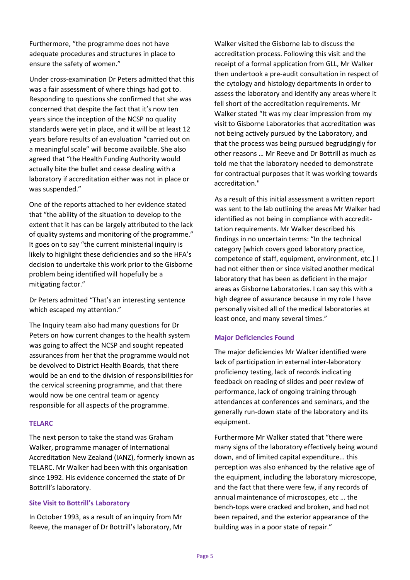Furthermore, "the programme does not have adequate procedures and structures in place to ensure the safety of women."

Under cross-examination Dr Peters admitted that this was a fair assessment of where things had got to. Responding to questions she confirmed that she was concerned that despite the fact that it's now ten years since the inception of the NCSP no quality standards were yet in place, and it will be at least 12 years before results of an evaluation "carried out on a meaningful scale" will become available. She also agreed that "the Health Funding Authority would actually bite the bullet and cease dealing with a laboratory if accreditation either was not in place or was suspended."

One of the reports attached to her evidence stated that "the ability of the situation to develop to the extent that it has can be largely attributed to the lack of quality systems and monitoring of the programme." It goes on to say "the current ministerial inquiry is likely to highlight these deficiencies and so the HFA's decision to undertake this work prior to the Gisborne problem being identified will hopefully be a mitigating factor."

Dr Peters admitted "That's an interesting sentence which escaped my attention."

The Inquiry team also had many questions for Dr Peters on how current changes to the health system was going to affect the NCSP and sought repeated assurances from her that the programme would not be devolved to District Health Boards, that there would be an end to the division of responsibilities for the cervical screening programme, and that there would now be one central team or agency responsible for all aspects of the programme.

#### **TELARC**

The next person to take the stand was Graham Walker, programme manager of International Accreditation New Zealand (IANZ), formerly known as TELARC. Mr Walker had been with this organisation since 1992. His evidence concerned the state of Dr Bottrill's laboratory.

## **Site Visit to Bottrill's Laboratory**

In October 1993, as a result of an inquiry from Mr Reeve, the manager of Dr Bottrill's laboratory, Mr Walker visited the Gisborne lab to discuss the accreditation process. Following this visit and the receipt of a formal application from GLL, Mr Walker then undertook a pre-audit consultation in respect of the cytology and histology departments in order to assess the laboratory and identify any areas where it fell short of the accreditation requirements. Mr Walker stated "It was my clear impression from my visit to Gisborne Laboratories that accreditation was not being actively pursued by the Laboratory, and that the process was being pursued begrudgingly for other reasons … Mr Reeve and Dr Bottrill as much as told me that the laboratory needed to demonstrate for contractual purposes that it was working towards accreditation."

As a result of this initial assessment a written report was sent to the lab outlining the areas Mr Walker had identified as not being in compliance with accredittation requirements. Mr Walker described his findings in no uncertain terms: "In the technical category [which covers good laboratory practice, competence of staff, equipment, environment, etc.] I had not either then or since visited another medical laboratory that has been as deficient in the major areas as Gisborne Laboratories. I can say this with a high degree of assurance because in my role I have personally visited all of the medical laboratories at least once, and many several times."

## **Major Deficiencies Found**

The major deficiencies Mr Walker identified were lack of participation in external inter-laboratory proficiency testing, lack of records indicating feedback on reading of slides and peer review of performance, lack of ongoing training through attendances at conferences and seminars, and the generally run-down state of the laboratory and its equipment.

Furthermore Mr Walker stated that "there were many signs of the laboratory effectively being wound down, and of limited capital expenditure… this perception was also enhanced by the relative age of the equipment, including the laboratory microscope, and the fact that there were few, if any records of annual maintenance of microscopes, etc … the bench-tops were cracked and broken, and had not been repaired, and the exterior appearance of the building was in a poor state of repair."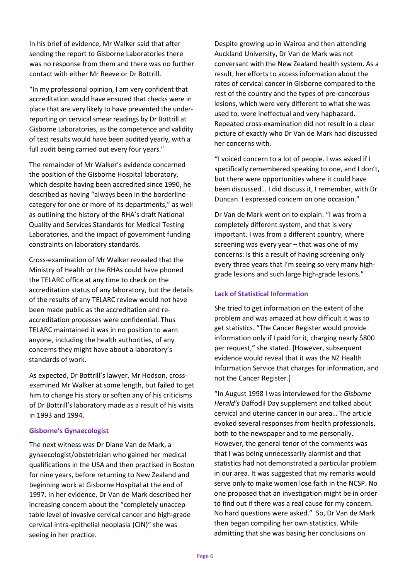In his brief of evidence, Mr Walker said that after sending the report to Gisborne Laboratories there was no response from them and there was no further contact with either Mr Reeve or Dr Bottrill.

"In my professional opinion, I am very confident that accreditation would have ensured that checks were in place that are very likely to have prevented the underreporting on cervical smear readings by Dr Bottrill at Gisborne Laboratories, as the competence and validity of test results would have been audited yearly, with a full audit being carried out every four years."

The remainder of Mr Walker's evidence concerned the position of the Gisborne Hospital laboratory, which despite having been accredited since 1990, he described as having "always been in the borderline category for one or more of its departments," as well as outlining the history of the RHA's draft National Quality and Services Standards for Medical Testing Laboratories, and the impact of government funding constraints on laboratory standards.

Cross-examination of Mr Walker revealed that the Ministry of Health or the RHAs could have phoned the TELARC office at any time to check on the accreditation status of any laboratory, but the details of the results of any TELARC review would not have been made public as the accreditation and reaccreditation processes were confidential. Thus TELARC maintained it was in no position to warn anyone, including the health authorities, of any concerns they might have about a laboratory's standards of work.

As expected, Dr Bottrill's lawyer, Mr Hodson, crossexamined Mr Walker at some length, but failed to get him to change his story or soften any of his criticisms of Dr Bottrill's laboratory made as a result of his visits in 1993 and 1994.

## **Gisborne's Gynaecologist**

The next witness was Dr Diane Van de Mark, a gynaecologist/obstetrician who gained her medical qualifications in the USA and then practised in Boston for nine years, before returning to New Zealand and beginning work at Gisborne Hospital at the end of 1997. In her evidence, Dr Van de Mark described her increasing concern about the "completely unacceptable level of invasive cervical cancer and high-grade cervical intra-epithelial neoplasia (CIN)" she was seeing in her practice.

Despite growing up in Wairoa and then attending Auckland University, Dr Van de Mark was not conversant with the New Zealand health system. As a result, her efforts to access information about the rates of cervical cancer in Gisborne compared to the rest of the country and the types of pre-cancerous lesions, which were very different to what she was used to, were ineffectual and very haphazard. Repeated cross-examination did not result in a clear picture of exactly who Dr Van de Mark had discussed her concerns with.

"I voiced concern to a lot of people. I was asked if I specifically remembered speaking to one, and I don't, but there were opportunities where it could have been discussed… I did discuss it, I remember, with Dr Duncan. I expressed concern on one occasion."

Dr Van de Mark went on to explain: "I was from a completely different system, and that is very important. I was from a different country, where screening was every year – that was one of my concerns: is this a result of having screening only every three years that I'm seeing so very many highgrade lesions and such large high-grade lesions."

## **Lack of Statistical Information**

She tried to get information on the extent of the problem and was amazed at how difficult it was to get statistics. "The Cancer Register would provide information only if I paid for it, charging nearly \$800 per request," she stated. [However, subsequent evidence would reveal that it was the NZ Health Information Service that charges for information, and not the Cancer Register.]

"In August 1998 I was interviewed for the *Gisborne Herald's* Daffodil Day supplement and talked about cervical and uterine cancer in our area… The article evoked several responses from health professionals, both to the newspaper and to me personally. However, the general tenor of the comments was that I was being unnecessarily alarmist and that statistics had not demonstrated a particular problem in our area. It was suggested that my remarks would serve only to make women lose faith in the NCSP. No one proposed that an investigation might be in order to find out if there was a real cause for my concern. No hard questions were asked." So, Dr Van de Mark then began compiling her own statistics. While admitting that she was basing her conclusions on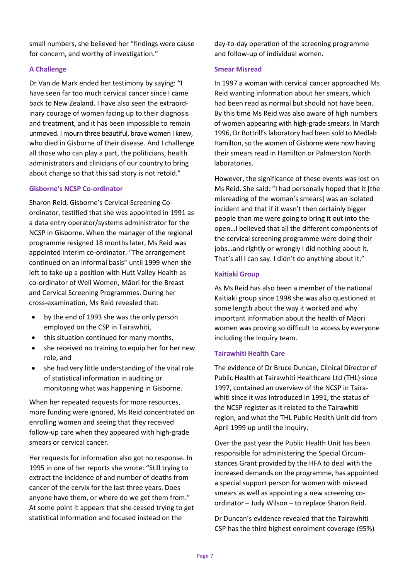small numbers, she believed her "findings were cause for concern, and worthy of investigation."

# **A Challenge**

Dr Van de Mark ended her testimony by saying: "I have seen far too much cervical cancer since I came back to New Zealand. I have also seen the extraordinary courage of women facing up to their diagnosis and treatment, and it has been impossible to remain unmoved. I mourn three beautiful, brave women I knew, who died in Gisborne of their disease. And I challenge all those who can play a part, the politicians, health administrators and clinicians of our country to bring about change so that this sad story is not retold."

# **Gisborne's NCSP Co-ordinator**

Sharon Reid, Gisborne's Cervical Screening Coordinator, testified that she was appointed in 1991 as a data entry operator/systems administrator for the NCSP in Gisborne. When the manager of the regional programme resigned 18 months later, Ms Reid was appointed interim co-ordinator. "The arrangement continued on an informal basis" until 1999 when she left to take up a position with Hutt Valley Health as co-ordinator of Well Women, Māori for the Breast and Cervical Screening Programmes. During her cross-examination, Ms Reid revealed that:

- by the end of 1993 she was the only person employed on the CSP in Tairawhiti,
- this situation continued for many months,
- she received no training to equip her for her new role, and
- she had very little understanding of the vital role of statistical information in auditing or monitoring what was happening in Gisborne.

When her repeated requests for more resources, more funding were ignored, Ms Reid concentrated on enrolling women and seeing that they received follow-up care when they appeared with high-grade smears or cervical cancer.

Her requests for information also got no response. In 1995 in one of her reports she wrote: "Still trying to extract the incidence of and number of deaths from cancer of the cervix for the last three years. Does anyone have them, or where do we get them from." At some point it appears that she ceased trying to get statistical information and focused instead on the

day-to-day operation of the screening programme and follow-up of individual women.

## **Smear Misread**

In 1997 a woman with cervical cancer approached Ms Reid wanting information about her smears, which had been read as normal but should not have been. By this time Ms Reid was also aware of high numbers of women appearing with high-grade smears. In March 1996, Dr Bottrill's laboratory had been sold to Medlab Hamilton, so the women of Gisborne were now having their smears read in Hamilton or Palmerston North laboratories.

However, the significance of these events was lost on Ms Reid. She said: "I had personally hoped that it [the misreading of the woman's smears] was an isolated incident and that if it wasn't then certainly bigger people than me were going to bring it out into the open…I believed that all the different components of the cervical screening programme were doing their jobs…and rightly or wrongly I did nothing about it. That's all I can say. I didn't do anything about it."

# **Kaitiaki Group**

As Ms Reid has also been a member of the national Kaitiaki group since 1998 she was also questioned at some length about the way it worked and why important information about the health of Māori women was proving so difficult to access by everyone including the Inquiry team.

# **Tairawhiti Health Care**

The evidence of Dr Bruce Duncan, Clinical Director of Public Health at Tairawhiti Healthcare Ltd (THL) since 1997, contained an overview of the NCSP in Tairawhiti since it was introduced in 1991, the status of the NCSP register as it related to the Tairawhiti region, and what the THL Public Health Unit did from April 1999 up until the Inquiry.

Over the past year the Public Health Unit has been responsible for administering the Special Circumstances Grant provided by the HFA to deal with the increased demands on the programme, has appointed a special support person for women with misread smears as well as appointing a new screening coordinator – Judy Wilson – to replace Sharon Reid.

Dr Duncan's evidence revealed that the Tairawhiti CSP has the third highest enrolment coverage (95%)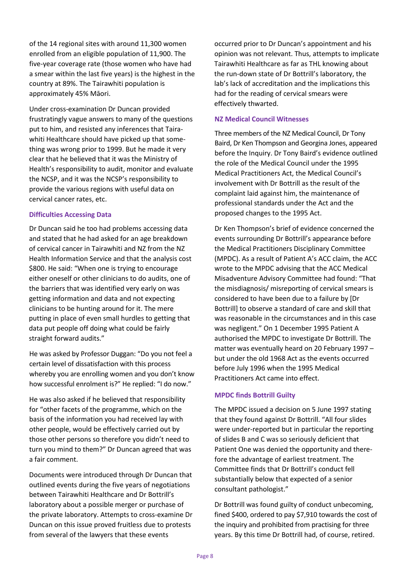of the 14 regional sites with around 11,300 women enrolled from an eligible population of 11,900. The five-year coverage rate (those women who have had a smear within the last five years) is the highest in the country at 89%. The Tairawhiti population is approximately 45% Māori.

Under cross-examination Dr Duncan provided frustratingly vague answers to many of the questions put to him, and resisted any inferences that Tairawhiti Healthcare should have picked up that something was wrong prior to 1999. But he made it very clear that he believed that it was the Ministry of Health's responsibility to audit, monitor and evaluate the NCSP, and it was the NCSP's responsibility to provide the various regions with useful data on cervical cancer rates, etc.

## **Difficulties Accessing Data**

Dr Duncan said he too had problems accessing data and stated that he had asked for an age breakdown of cervical cancer in Tairawhiti and NZ from the NZ Health Information Service and that the analysis cost \$800. He said: "When one is trying to encourage either oneself or other clinicians to do audits, one of the barriers that was identified very early on was getting information and data and not expecting clinicians to be hunting around for it. The mere putting in place of even small hurdles to getting that data put people off doing what could be fairly straight forward audits."

He was asked by Professor Duggan: "Do you not feel a certain level of dissatisfaction with this process whereby you are enrolling women and you don't know how successful enrolment is?" He replied: "I do now."

He was also asked if he believed that responsibility for "other facets of the programme, which on the basis of the information you had received lay with other people, would be effectively carried out by those other persons so therefore you didn't need to turn you mind to them?" Dr Duncan agreed that was a fair comment.

Documents were introduced through Dr Duncan that outlined events during the five years of negotiations between Tairawhiti Healthcare and Dr Bottrill's laboratory about a possible merger or purchase of the private laboratory. Attempts to cross-examine Dr Duncan on this issue proved fruitless due to protests from several of the lawyers that these events

occurred prior to Dr Duncan's appointment and his opinion was not relevant. Thus, attempts to implicate Tairawhiti Healthcare as far as THL knowing about the run-down state of Dr Bottrill's laboratory, the lab's lack of accreditation and the implications this had for the reading of cervical smears were effectively thwarted.

# **NZ Medical Council Witnesses**

Three members of the NZ Medical Council, Dr Tony Baird, Dr Ken Thompson and Georgina Jones, appeared before the Inquiry. Dr Tony Baird's evidence outlined the role of the Medical Council under the 1995 Medical Practitioners Act, the Medical Council's involvement with Dr Bottrill as the result of the complaint laid against him, the maintenance of professional standards under the Act and the proposed changes to the 1995 Act.

Dr Ken Thompson's brief of evidence concerned the events surrounding Dr Bottrill's appearance before the Medical Practitioners Disciplinary Committee (MPDC). As a result of Patient A's ACC claim, the ACC wrote to the MPDC advising that the ACC Medical Misadventure Advisory Committee had found: "That the misdiagnosis/ misreporting of cervical smears is considered to have been due to a failure by [Dr Bottrill] to observe a standard of care and skill that was reasonable in the circumstances and in this case was negligent." On 1 December 1995 Patient A authorised the MPDC to investigate Dr Bottrill. The matter was eventually heard on 20 February 1997 – but under the old 1968 Act as the events occurred before July 1996 when the 1995 Medical Practitioners Act came into effect.

# **MPDC finds Bottrill Guilty**

The MPDC issued a decision on 5 June 1997 stating that they found against Dr Bottrill. "All four slides were under-reported but in particular the reporting of slides B and C was so seriously deficient that Patient One was denied the opportunity and therefore the advantage of earliest treatment. The Committee finds that Dr Bottrill's conduct fell substantially below that expected of a senior consultant pathologist."

Dr Bottrill was found guilty of conduct unbecoming, fined \$400, ordered to pay \$7,910 towards the cost of the inquiry and prohibited from practising for three years. By this time Dr Bottrill had, of course, retired.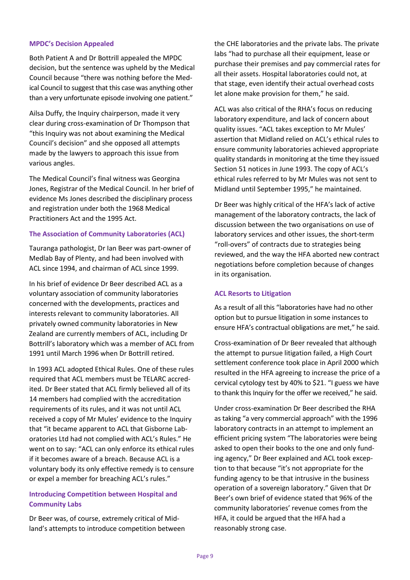## **MPDC's Decision Appealed**

Both Patient A and Dr Bottrill appealed the MPDC decision, but the sentence was upheld by the Medical Council because "there was nothing before the Medical Council to suggest that this case was anything other than a very unfortunate episode involving one patient."

Ailsa Duffy, the Inquiry chairperson, made it very clear during cross-examination of Dr Thompson that "this Inquiry was not about examining the Medical Council's decision" and she opposed all attempts made by the lawyers to approach this issue from various angles.

The Medical Council's final witness was Georgina Jones, Registrar of the Medical Council. In her brief of evidence Ms Jones described the disciplinary process and registration under both the 1968 Medical Practitioners Act and the 1995 Act.

## **The Association of Community Laboratories (ACL)**

Tauranga pathologist, Dr Ian Beer was part-owner of Medlab Bay of Plenty, and had been involved with ACL since 1994, and chairman of ACL since 1999.

In his brief of evidence Dr Beer described ACL as a voluntary association of community laboratories concerned with the developments, practices and interests relevant to community laboratories. All privately owned community laboratories in New Zealand are currently members of ACL, including Dr Bottrill's laboratory which was a member of ACL from 1991 until March 1996 when Dr Bottrill retired.

In 1993 ACL adopted Ethical Rules. One of these rules required that ACL members must be TELARC accredited. Dr Beer stated that ACL firmly believed all of its 14 members had complied with the accreditation requirements of its rules, and it was not until ACL received a copy of Mr Mules' evidence to the Inquiry that "it became apparent to ACL that Gisborne Laboratories Ltd had not complied with ACL's Rules." He went on to say: "ACL can only enforce its ethical rules if it becomes aware of a breach. Because ACL is a voluntary body its only effective remedy is to censure or expel a member for breaching ACL's rules."

# **Introducing Competition between Hospital and Community Labs**

Dr Beer was, of course, extremely critical of Midland's attempts to introduce competition between the CHE laboratories and the private labs. The private labs "had to purchase all their equipment, lease or purchase their premises and pay commercial rates for all their assets. Hospital laboratories could not, at that stage, even identify their actual overhead costs let alone make provision for them," he said.

ACL was also critical of the RHA's focus on reducing laboratory expenditure, and lack of concern about quality issues. "ACL takes exception to Mr Mules' assertion that Midland relied on ACL's ethical rules to ensure community laboratories achieved appropriate quality standards in monitoring at the time they issued Section 51 notices in June 1993. The copy of ACL's ethical rules referred to by Mr Mules was not sent to Midland until September 1995," he maintained.

Dr Beer was highly critical of the HFA's lack of active management of the laboratory contracts, the lack of discussion between the two organisations on use of laboratory services and other issues, the short-term "roll-overs" of contracts due to strategies being reviewed, and the way the HFA aborted new contract negotiations before completion because of changes in its organisation.

## **ACL Resorts to Litigation**

As a result of all this "laboratories have had no other option but to pursue litigation in some instances to ensure HFA's contractual obligations are met," he said.

Cross-examination of Dr Beer revealed that although the attempt to pursue litigation failed, a High Court settlement conference took place in April 2000 which resulted in the HFA agreeing to increase the price of a cervical cytology test by 40% to \$21. "I guess we have to thank this Inquiry for the offer we received." he said.

Under cross-examination Dr Beer described the RHA as taking "a very commercial approach" with the 1996 laboratory contracts in an attempt to implement an efficient pricing system "The laboratories were being asked to open their books to the one and only funding agency," Dr Beer explained and ACL took exception to that because "it's not appropriate for the funding agency to be that intrusive in the business operation of a sovereign laboratory." Given that Dr Beer's own brief of evidence stated that 96% of the community laboratories' revenue comes from the HFA, it could be argued that the HFA had a reasonably strong case.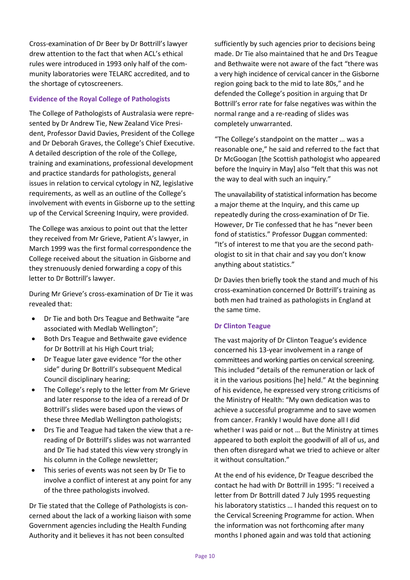Cross-examination of Dr Beer by Dr Bottrill's lawyer drew attention to the fact that when ACL's ethical rules were introduced in 1993 only half of the community laboratories were TELARC accredited, and to the shortage of cytoscreeners.

## **Evidence of the Royal College of Pathologists**

The College of Pathologists of Australasia were represented by Dr Andrew Tie, New Zealand Vice President, Professor David Davies, President of the College and Dr Deborah Graves, the College's Chief Executive. A detailed description of the role of the College, training and examinations, professional development and practice standards for pathologists, general issues in relation to cervical cytology in NZ, legislative requirements, as well as an outline of the College's involvement with events in Gisborne up to the setting up of the Cervical Screening Inquiry, were provided.

The College was anxious to point out that the letter they received from Mr Grieve, Patient A's lawyer, in March 1999 was the first formal correspondence the College received about the situation in Gisborne and they strenuously denied forwarding a copy of this letter to Dr Bottrill's lawyer.

During Mr Grieve's cross-examination of Dr Tie it was revealed that:

- Dr Tie and both Drs Teague and Bethwaite "are associated with Medlab Wellington";
- Both Drs Teague and Bethwaite gave evidence for Dr Bottrill at his High Court trial;
- Dr Teague later gave evidence "for the other side" during Dr Bottrill's subsequent Medical Council disciplinary hearing;
- The College's reply to the letter from Mr Grieve and later response to the idea of a reread of Dr Bottrill's slides were based upon the views of these three Medlab Wellington pathologists;
- Drs Tie and Teague had taken the view that a rereading of Dr Bottrill's slides was not warranted and Dr Tie had stated this view very strongly in his column in the College newsletter;
- This series of events was not seen by Dr Tie to involve a conflict of interest at any point for any of the three pathologists involved.

Dr Tie stated that the College of Pathologists is concerned about the lack of a working liaison with some Government agencies including the Health Funding Authority and it believes it has not been consulted

sufficiently by such agencies prior to decisions being made. Dr Tie also maintained that he and Drs Teague and Bethwaite were not aware of the fact "there was a very high incidence of cervical cancer in the Gisborne region going back to the mid to late 80s," and he defended the College's position in arguing that Dr Bottrill's error rate for false negatives was within the normal range and a re-reading of slides was completely unwarranted.

"The College's standpoint on the matter … was a reasonable one," he said and referred to the fact that Dr McGoogan [the Scottish pathologist who appeared before the Inquiry in May] also "felt that this was not the way to deal with such an inquiry."

The unavailability of statistical information has become a major theme at the Inquiry, and this came up repeatedly during the cross-examination of Dr Tie. However, Dr Tie confessed that he has "never been fond of statistics." Professor Duggan commented: "It's of interest to me that you are the second pathologist to sit in that chair and say you don't know anything about statistics."

Dr Davies then briefly took the stand and much of his cross-examination concerned Dr Bottrill's training as both men had trained as pathologists in England at the same time.

## **Dr Clinton Teague**

The vast majority of Dr Clinton Teague's evidence concerned his 13-year involvement in a range of committees and working parties on cervical screening. This included "details of the remuneration or lack of it in the various positions [he] held." At the beginning of his evidence, he expressed very strong criticisms of the Ministry of Health: "My own dedication was to achieve a successful programme and to save women from cancer. Frankly I would have done all I did whether I was paid or not … But the Ministry at times appeared to both exploit the goodwill of all of us, and then often disregard what we tried to achieve or alter it without consultation."

At the end of his evidence, Dr Teague described the contact he had with Dr Bottrill in 1995: "I received a letter from Dr Bottrill dated 7 July 1995 requesting his laboratory statistics … I handed this request on to the Cervical Screening Programme for action. When the information was not forthcoming after many months I phoned again and was told that actioning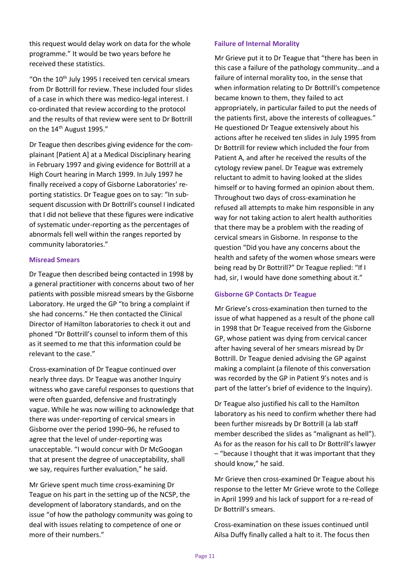this request would delay work on data for the whole programme." It would be two years before he received these statistics.

"On the 10<sup>th</sup> July 1995 I received ten cervical smears from Dr Bottrill for review. These included four slides of a case in which there was medico-legal interest. I co-ordinated that review according to the protocol and the results of that review were sent to Dr Bottrill on the 14<sup>th</sup> August 1995."

Dr Teague then describes giving evidence for the complainant [Patient A] at a Medical Disciplinary hearing in February 1997 and giving evidence for Bottrill at a High Court hearing in March 1999. In July 1997 he finally received a copy of Gisborne Laboratories' reporting statistics. Dr Teague goes on to say: "In subsequent discussion with Dr Bottrill's counsel I indicated that I did not believe that these figures were indicative of systematic under-reporting as the percentages of abnormals fell well within the ranges reported by community laboratories."

## **Misread Smears**

Dr Teague then described being contacted in 1998 by a general practitioner with concerns about two of her patients with possible misread smears by the Gisborne Laboratory. He urged the GP "to bring a complaint if she had concerns." He then contacted the Clinical Director of Hamilton laboratories to check it out and phoned "Dr Bottrill's counsel to inform them of this as it seemed to me that this information could be relevant to the case."

Cross-examination of Dr Teague continued over nearly three days. Dr Teague was another Inquiry witness who gave careful responses to questions that were often guarded, defensive and frustratingly vague. While he was now willing to acknowledge that there was under-reporting of cervical smears in Gisborne over the period 1990–96, he refused to agree that the level of under-reporting was unacceptable. "I would concur with Dr McGoogan that at present the degree of unacceptability, shall we say, requires further evaluation," he said.

Mr Grieve spent much time cross-examining Dr Teague on his part in the setting up of the NCSP, the development of laboratory standards, and on the issue "of how the pathology community was going to deal with issues relating to competence of one or more of their numbers."

## **Failure of Internal Morality**

Mr Grieve put it to Dr Teague that "there has been in this case a failure of the pathology community…and a failure of internal morality too, in the sense that when information relating to Dr Bottrill's competence became known to them, they failed to act appropriately, in particular failed to put the needs of the patients first, above the interests of colleagues." He questioned Dr Teague extensively about his actions after he received ten slides in July 1995 from Dr Bottrill for review which included the four from Patient A, and after he received the results of the cytology review panel. Dr Teague was extremely reluctant to admit to having looked at the slides himself or to having formed an opinion about them. Throughout two days of cross-examination he refused all attempts to make him responsible in any way for not taking action to alert health authorities that there may be a problem with the reading of cervical smears in Gisborne. In response to the question "Did you have any concerns about the health and safety of the women whose smears were being read by Dr Bottrill?" Dr Teague replied: "If I had, sir, I would have done something about it."

# **Gisborne GP Contacts Dr Teague**

Mr Grieve's cross-examination then turned to the issue of what happened as a result of the phone call in 1998 that Dr Teague received from the Gisborne GP, whose patient was dying from cervical cancer after having several of her smears misread by Dr Bottrill. Dr Teague denied advising the GP against making a complaint (a filenote of this conversation was recorded by the GP in Patient 9's notes and is part of the latter's brief of evidence to the Inquiry).

Dr Teague also justified his call to the Hamilton laboratory as his need to confirm whether there had been further misreads by Dr Bottrill (a lab staff member described the slides as "malignant as hell"). As for as the reason for his call to Dr Bottrill's lawyer – "because I thought that it was important that they should know," he said.

Mr Grieve then cross-examined Dr Teague about his response to the letter Mr Grieve wrote to the College in April 1999 and his lack of support for a re-read of Dr Bottrill's smears.

Cross-examination on these issues continued until Ailsa Duffy finally called a halt to it. The focus then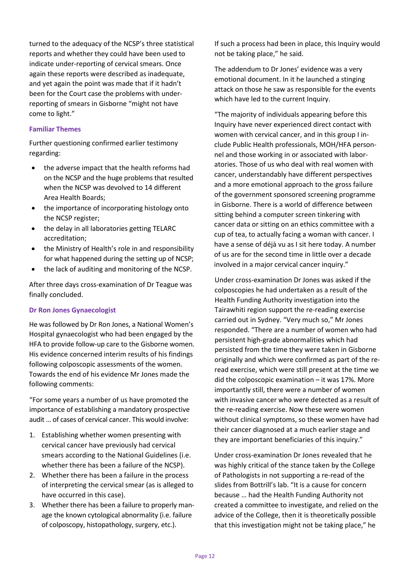turned to the adequacy of the NCSP's three statistical reports and whether they could have been used to indicate under-reporting of cervical smears. Once again these reports were described as inadequate, and yet again the point was made that if it hadn't been for the Court case the problems with underreporting of smears in Gisborne "might not have come to light."

## **Familiar Themes**

Further questioning confirmed earlier testimony regarding:

- the adverse impact that the health reforms had on the NCSP and the huge problems that resulted when the NCSP was devolved to 14 different Area Health Boards;
- the importance of incorporating histology onto the NCSP register;
- the delay in all laboratories getting TELARC accreditation;
- the Ministry of Health's role in and responsibility for what happened during the setting up of NCSP;
- the lack of auditing and monitoring of the NCSP.

After three days cross-examination of Dr Teague was finally concluded.

# **Dr Ron Jones Gynaecologist**

He was followed by Dr Ron Jones, a National Women's Hospital gynaecologist who had been engaged by the HFA to provide follow-up care to the Gisborne women. His evidence concerned interim results of his findings following colposcopic assessments of the women. Towards the end of his evidence Mr Jones made the following comments:

"For some years a number of us have promoted the importance of establishing a mandatory prospective audit … of cases of cervical cancer. This would involve:

- 1. Establishing whether women presenting with cervical cancer have previously had cervical smears according to the National Guidelines (i.e. whether there has been a failure of the NCSP).
- 2. Whether there has been a failure in the process of interpreting the cervical smear (as is alleged to have occurred in this case).
- 3. Whether there has been a failure to properly manage the known cytological abnormality (i.e. failure of colposcopy, histopathology, surgery, etc.).

If such a process had been in place, this Inquiry would not be taking place," he said.

The addendum to Dr Jones' evidence was a very emotional document. In it he launched a stinging attack on those he saw as responsible for the events which have led to the current Inquiry.

"The majority of individuals appearing before this Inquiry have never experienced direct contact with women with cervical cancer, and in this group I include Public Health professionals, MOH/HFA personnel and those working in or associated with laboratories. Those of us who deal with real women with cancer, understandably have different perspectives and a more emotional approach to the gross failure of the government sponsored screening programme in Gisborne. There is a world of difference between sitting behind a computer screen tinkering with cancer data or sitting on an ethics committee with a cup of tea, to actually facing a woman with cancer. I have a sense of déjà vu as I sit here today. A number of us are for the second time in little over a decade involved in a major cervical cancer inquiry."

Under cross-examination Dr Jones was asked if the colposcopies he had undertaken as a result of the Health Funding Authority investigation into the Tairawhiti region support the re-reading exercise carried out in Sydney. "Very much so," Mr Jones responded. "There are a number of women who had persistent high-grade abnormalities which had persisted from the time they were taken in Gisborne originally and which were confirmed as part of the reread exercise, which were still present at the time we did the colposcopic examination – it was 17%. More importantly still, there were a number of women with invasive cancer who were detected as a result of the re-reading exercise. Now these were women without clinical symptoms, so these women have had their cancer diagnosed at a much earlier stage and they are important beneficiaries of this inquiry."

Under cross-examination Dr Jones revealed that he was highly critical of the stance taken by the College of Pathologists in not supporting a re-read of the slides from Bottrill's lab. "It is a cause for concern because … had the Health Funding Authority not created a committee to investigate, and relied on the advice of the College, then it is theoretically possible that this investigation might not be taking place," he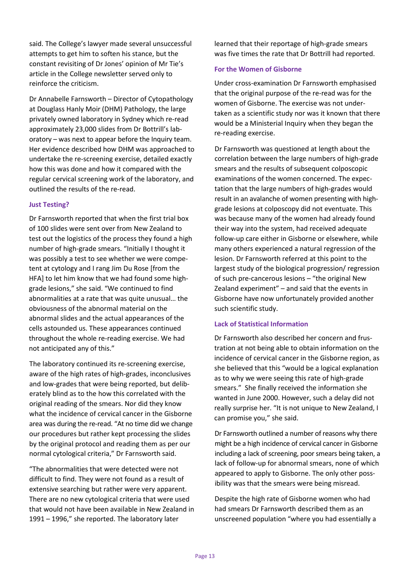said. The College's lawyer made several unsuccessful attempts to get him to soften his stance, but the constant revisiting of Dr Jones' opinion of Mr Tie's article in the College newsletter served only to reinforce the criticism.

Dr Annabelle Farnsworth – Director of Cytopathology at Douglass Hanly Moir (DHM) Pathology, the large privately owned laboratory in Sydney which re-read approximately 23,000 slides from Dr Bottrill's laboratory – was next to appear before the Inquiry team. Her evidence described how DHM was approached to undertake the re-screening exercise, detailed exactly how this was done and how it compared with the regular cervical screening work of the laboratory, and outlined the results of the re-read.

## **Just Testing?**

Dr Farnsworth reported that when the first trial box of 100 slides were sent over from New Zealand to test out the logistics of the process they found a high number of high-grade smears. "Initially I thought it was possibly a test to see whether we were competent at cytology and I rang Jim Du Rose [from the HFA] to let him know that we had found some highgrade lesions," she said. "We continued to find abnormalities at a rate that was quite unusual… the obviousness of the abnormal material on the abnormal slides and the actual appearances of the cells astounded us. These appearances continued throughout the whole re-reading exercise. We had not anticipated any of this."

The laboratory continued its re-screening exercise, aware of the high rates of high-grades, inconclusives and low-grades that were being reported, but deliberately blind as to the how this correlated with the original reading of the smears. Nor did they know what the incidence of cervical cancer in the Gisborne area was during the re-read. "At no time did we change our procedures but rather kept processing the slides by the original protocol and reading them as per our normal cytological criteria," Dr Farnsworth said.

"The abnormalities that were detected were not difficult to find. They were not found as a result of extensive searching but rather were very apparent. There are no new cytological criteria that were used that would not have been available in New Zealand in 1991 – 1996," she reported. The laboratory later

learned that their reportage of high-grade smears was five times the rate that Dr Bottrill had reported.

## **For the Women of Gisborne**

Under cross-examination Dr Farnsworth emphasised that the original purpose of the re-read was for the women of Gisborne. The exercise was not undertaken as a scientific study nor was it known that there would be a Ministerial Inquiry when they began the re-reading exercise.

Dr Farnsworth was questioned at length about the correlation between the large numbers of high-grade smears and the results of subsequent colposcopic examinations of the women concerned. The expectation that the large numbers of high-grades would result in an avalanche of women presenting with highgrade lesions at colposcopy did not eventuate. This was because many of the women had already found their way into the system, had received adequate follow-up care either in Gisborne or elsewhere, while many others experienced a natural regression of the lesion. Dr Farnsworth referred at this point to the largest study of the biological progression/ regression of such pre-cancerous lesions – "the original New Zealand experiment" – and said that the events in Gisborne have now unfortunately provided another such scientific study.

# **Lack of Statistical Information**

Dr Farnsworth also described her concern and frustration at not being able to obtain information on the incidence of cervical cancer in the Gisborne region, as she believed that this "would be a logical explanation as to why we were seeing this rate of high-grade smears." She finally received the information she wanted in June 2000. However, such a delay did not really surprise her. "It is not unique to New Zealand, I can promise you," she said.

Dr Farnsworth outlined a number of reasons why there might be a high incidence of cervical cancer in Gisborne including a lack of screening, poor smears being taken, a lack of follow-up for abnormal smears, none of which appeared to apply to Gisborne. The only other possibility was that the smears were being misread.

Despite the high rate of Gisborne women who had had smears Dr Farnsworth described them as an unscreened population "where you had essentially a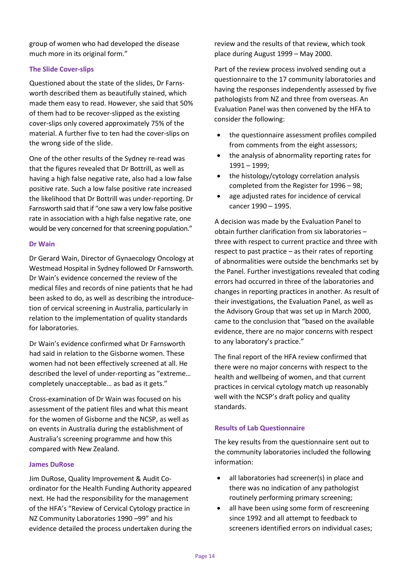group of women who had developed the disease much more in its original form."

## **The Slide Cover-slips**

Questioned about the state of the slides, Dr Farnsworth described them as beautifully stained, which made them easy to read. However, she said that 50% of them had to be recover-slipped as the existing cover-slips only covered approximately 75% of the material. A further five to ten had the cover-slips on the wrong side of the slide.

One of the other results of the Sydney re-read was that the figures revealed that Dr Bottrill, as well as having a high false negative rate, also had a low false positive rate. Such a low false positive rate increased the likelihood that Dr Bottrill was under-reporting. Dr Farnsworth said that if "one saw a very low false positive rate in association with a high false negative rate, one would be very concerned for that screening population."

## **Dr Wain**

Dr Gerard Wain, Director of Gynaecology Oncology at Westmead Hospital in Sydney followed Dr Farnsworth. Dr Wain's evidence concerned the review of the medical files and records of nine patients that he had been asked to do, as well as describing the introducetion of cervical screening in Australia, particularly in relation to the implementation of quality standards for laboratories.

Dr Wain's evidence confirmed what Dr Farnsworth had said in relation to the Gisborne women. These women had not been effectively screened at all. He described the level of under-reporting as "extreme… completely unacceptable… as bad as it gets."

Cross-examination of Dr Wain was focused on his assessment of the patient files and what this meant for the women of Gisborne and the NCSP, as well as on events in Australia during the establishment of Australia's screening programme and how this compared with New Zealand.

## **James DuRose**

Jim DuRose, Quality Improvement & Audit Coordinator for the Health Funding Authority appeared next. He had the responsibility for the management of the HFA's "Review of Cervical Cytology practice in NZ Community Laboratories 1990 –99" and his evidence detailed the process undertaken during the review and the results of that review, which took place during August 1999 – May 2000.

Part of the review process involved sending out a questionnaire to the 17 community laboratories and having the responses independently assessed by five pathologists from NZ and three from overseas. An Evaluation Panel was then convened by the HFA to consider the following:

- the questionnaire assessment profiles compiled from comments from the eight assessors;
- the analysis of abnormality reporting rates for 1991 – 1999;
- the histology/cytology correlation analysis completed from the Register for 1996 – 98;
- age adjusted rates for incidence of cervical cancer 1990 – 1995.

A decision was made by the Evaluation Panel to obtain further clarification from six laboratories – three with respect to current practice and three with respect to past practice – as their rates of reporting of abnormalities were outside the benchmarks set by the Panel. Further investigations revealed that coding errors had occurred in three of the laboratories and changes in reporting practices in another. As result of their investigations, the Evaluation Panel, as well as the Advisory Group that was set up in March 2000, came to the conclusion that "based on the available evidence, there are no major concerns with respect to any laboratory's practice."

The final report of the HFA review confirmed that there were no major concerns with respect to the health and wellbeing of women, and that current practices in cervical cytology match up reasonably well with the NCSP's draft policy and quality standards.

# **Results of Lab Questionnaire**

The key results from the questionnaire sent out to the community laboratories included the following information:

- all laboratories had screener(s) in place and there was no indication of any pathologist routinely performing primary screening;
- all have been using some form of rescreening since 1992 and all attempt to feedback to screeners identified errors on individual cases;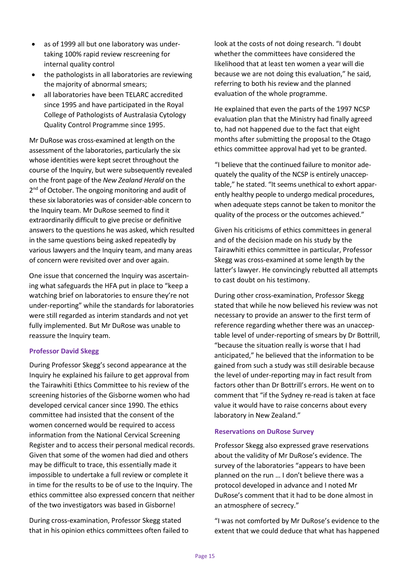- as of 1999 all but one laboratory was undertaking 100% rapid review rescreening for internal quality control
- the pathologists in all laboratories are reviewing the majority of abnormal smears;
- all laboratories have been TELARC accredited since 1995 and have participated in the Royal College of Pathologists of Australasia Cytology Quality Control Programme since 1995.

Mr DuRose was cross-examined at length on the assessment of the laboratories, particularly the six whose identities were kept secret throughout the course of the Inquiry, but were subsequently revealed on the front page of the *New Zealand Herald* on the 2<sup>nd</sup> of October. The ongoing monitoring and audit of these six laboratories was of consider-able concern to the Inquiry team. Mr DuRose seemed to find it extraordinarily difficult to give precise or definitive answers to the questions he was asked, which resulted in the same questions being asked repeatedly by various lawyers and the Inquiry team, and many areas of concern were revisited over and over again.

One issue that concerned the Inquiry was ascertaining what safeguards the HFA put in place to "keep a watching brief on laboratories to ensure they're not under-reporting" while the standards for laboratories were still regarded as interim standards and not yet fully implemented. But Mr DuRose was unable to reassure the Inquiry team.

## **Professor David Skegg**

During Professor Skegg's second appearance at the Inquiry he explained his failure to get approval from the Tairawhiti Ethics Committee to his review of the screening histories of the Gisborne women who had developed cervical cancer since 1990. The ethics committee had insisted that the consent of the women concerned would be required to access information from the National Cervical Screening Register and to access their personal medical records. Given that some of the women had died and others may be difficult to trace, this essentially made it impossible to undertake a full review or complete it in time for the results to be of use to the Inquiry. The ethics committee also expressed concern that neither of the two investigators was based in Gisborne!

During cross-examination, Professor Skegg stated that in his opinion ethics committees often failed to look at the costs of not doing research. "I doubt whether the committees have considered the likelihood that at least ten women a year will die because we are not doing this evaluation," he said, referring to both his review and the planned evaluation of the whole programme.

He explained that even the parts of the 1997 NCSP evaluation plan that the Ministry had finally agreed to, had not happened due to the fact that eight months after submitting the proposal to the Otago ethics committee approval had yet to be granted.

"I believe that the continued failure to monitor adequately the quality of the NCSP is entirely unacceptable," he stated. "It seems unethical to exhort apparently healthy people to undergo medical procedures, when adequate steps cannot be taken to monitor the quality of the process or the outcomes achieved."

Given his criticisms of ethics committees in general and of the decision made on his study by the Tairawhiti ethics committee in particular, Professor Skegg was cross-examined at some length by the latter's lawyer. He convincingly rebutted all attempts to cast doubt on his testimony.

During other cross-examination, Professor Skegg stated that while he now believed his review was not necessary to provide an answer to the first term of reference regarding whether there was an unacceptable level of under-reporting of smears by Dr Bottrill, "because the situation really is worse that I had anticipated," he believed that the information to be gained from such a study was still desirable because the level of under-reporting may in fact result from factors other than Dr Bottrill's errors. He went on to comment that "if the Sydney re-read is taken at face value it would have to raise concerns about every laboratory in New Zealand."

## **Reservations on DuRose Survey**

Professor Skegg also expressed grave reservations about the validity of Mr DuRose's evidence. The survey of the laboratories "appears to have been planned on the run … I don't believe there was a protocol developed in advance and I noted Mr DuRose's comment that it had to be done almost in an atmosphere of secrecy."

"I was not comforted by Mr DuRose's evidence to the extent that we could deduce that what has happened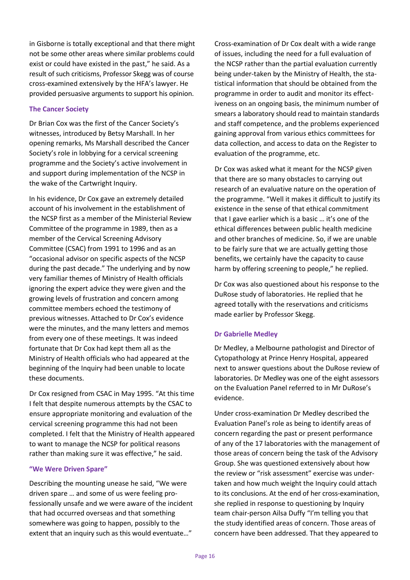in Gisborne is totally exceptional and that there might not be some other areas where similar problems could exist or could have existed in the past," he said. As a result of such criticisms, Professor Skegg was of course cross-examined extensively by the HFA's lawyer. He provided persuasive arguments to support his opinion.

# **The Cancer Society**

Dr Brian Cox was the first of the Cancer Society's witnesses, introduced by Betsy Marshall. In her opening remarks, Ms Marshall described the Cancer Society's role in lobbying for a cervical screening programme and the Society's active involvement in and support during implementation of the NCSP in the wake of the Cartwright Inquiry.

In his evidence, Dr Cox gave an extremely detailed account of his involvement in the establishment of the NCSP first as a member of the Ministerial Review Committee of the programme in 1989, then as a member of the Cervical Screening Advisory Committee (CSAC) from 1991 to 1996 and as an "occasional advisor on specific aspects of the NCSP during the past decade." The underlying and by now very familiar themes of Ministry of Health officials ignoring the expert advice they were given and the growing levels of frustration and concern among committee members echoed the testimony of previous witnesses. Attached to Dr Cox's evidence were the minutes, and the many letters and memos from every one of these meetings. It was indeed fortunate that Dr Cox had kept them all as the Ministry of Health officials who had appeared at the beginning of the Inquiry had been unable to locate these documents.

Dr Cox resigned from CSAC in May 1995. "At this time I felt that despite numerous attempts by the CSAC to ensure appropriate monitoring and evaluation of the cervical screening programme this had not been completed. I felt that the Ministry of Health appeared to want to manage the NCSP for political reasons rather than making sure it was effective," he said.

# **"We Were Driven Spare"**

Describing the mounting unease he said, "We were driven spare … and some of us were feeling professionally unsafe and we were aware of the incident that had occurred overseas and that something somewhere was going to happen, possibly to the extent that an inquiry such as this would eventuate..."

Cross-examination of Dr Cox dealt with a wide range of issues, including the need for a full evaluation of the NCSP rather than the partial evaluation currently being under-taken by the Ministry of Health, the statistical information that should be obtained from the programme in order to audit and monitor its effectiveness on an ongoing basis, the minimum number of smears a laboratory should read to maintain standards and staff competence, and the problems experienced gaining approval from various ethics committees for data collection, and access to data on the Register to evaluation of the programme, etc.

Dr Cox was asked what it meant for the NCSP given that there are so many obstacles to carrying out research of an evaluative nature on the operation of the programme. "Well it makes it difficult to justify its existence in the sense of that ethical commitment that I gave earlier which is a basic … it's one of the ethical differences between public health medicine and other branches of medicine. So, if we are unable to be fairly sure that we are actually getting those benefits, we certainly have the capacity to cause harm by offering screening to people," he replied.

Dr Cox was also questioned about his response to the DuRose study of laboratories. He replied that he agreed totally with the reservations and criticisms made earlier by Professor Skegg.

# **Dr Gabrielle Medley**

Dr Medley, a Melbourne pathologist and Director of Cytopathology at Prince Henry Hospital, appeared next to answer questions about the DuRose review of laboratories. Dr Medley was one of the eight assessors on the Evaluation Panel referred to in Mr DuRose's evidence.

Under cross-examination Dr Medley described the Evaluation Panel's role as being to identify areas of concern regarding the past or present performance of any of the 17 laboratories with the management of those areas of concern being the task of the Advisory Group. She was questioned extensively about how the review or "risk assessment" exercise was undertaken and how much weight the Inquiry could attach to its conclusions. At the end of her cross-examination, she replied in response to questioning by Inquiry team chair-person Ailsa Duffy "I'm telling you that the study identified areas of concern. Those areas of concern have been addressed. That they appeared to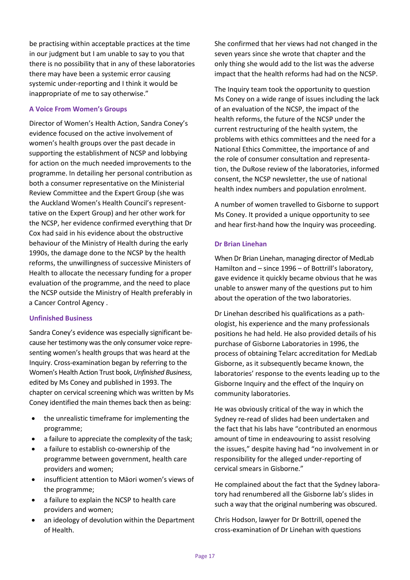be practising within acceptable practices at the time in our judgment but I am unable to say to you that there is no possibility that in any of these laboratories there may have been a systemic error causing systemic under-reporting and I think it would be inappropriate of me to say otherwise."

## **A Voice From Women's Groups**

Director of Women's Health Action, Sandra Coney's evidence focused on the active involvement of women's health groups over the past decade in supporting the establishment of NCSP and lobbying for action on the much needed improvements to the programme. In detailing her personal contribution as both a consumer representative on the Ministerial Review Committee and the Expert Group (she was the Auckland Women's Health Council's representtative on the Expert Group) and her other work for the NCSP, her evidence confirmed everything that Dr Cox had said in his evidence about the obstructive behaviour of the Ministry of Health during the early 1990s, the damage done to the NCSP by the health reforms, the unwillingness of successive Ministers of Health to allocate the necessary funding for a proper evaluation of the programme, and the need to place the NCSP outside the Ministry of Health preferably in a Cancer Control Agency .

# **Unfinished Business**

Sandra Coney's evidence was especially significant because her testimony was the only consumer voice representing women's health groups that was heard at the Inquiry. Cross-examination began by referring to the Women's Health Action Trust book, *Unfinished Business*, edited by Ms Coney and published in 1993. The chapter on cervical screening which was written by Ms Coney identified the main themes back then as being:

- the unrealistic timeframe for implementing the programme;
- a failure to appreciate the complexity of the task;
- a failure to establish co-ownership of the programme between government, health care providers and women;
- insufficient attention to Māori women's views of the programme;
- a failure to explain the NCSP to health care providers and women;
- an ideology of devolution within the Department of Health.

She confirmed that her views had not changed in the seven years since she wrote that chapter and the only thing she would add to the list was the adverse impact that the health reforms had had on the NCSP.

The Inquiry team took the opportunity to question Ms Coney on a wide range of issues including the lack of an evaluation of the NCSP, the impact of the health reforms, the future of the NCSP under the current restructuring of the health system, the problems with ethics committees and the need for a National Ethics Committee, the importance of and the role of consumer consultation and representation, the DuRose review of the laboratories, informed consent, the NCSP newsletter, the use of national health index numbers and population enrolment.

A number of women travelled to Gisborne to support Ms Coney. It provided a unique opportunity to see and hear first-hand how the Inquiry was proceeding.

# **Dr Brian Linehan**

When Dr Brian Linehan, managing director of MedLab Hamilton and – since 1996 – of Bottrill's laboratory, gave evidence it quickly became obvious that he was unable to answer many of the questions put to him about the operation of the two laboratories.

Dr Linehan described his qualifications as a pathologist, his experience and the many professionals positions he had held. He also provided details of his purchase of Gisborne Laboratories in 1996, the process of obtaining Telarc accreditation for MedLab Gisborne, as it subsequently became known, the laboratories' response to the events leading up to the Gisborne Inquiry and the effect of the Inquiry on community laboratories.

He was obviously critical of the way in which the Sydney re-read of slides had been undertaken and the fact that his labs have "contributed an enormous amount of time in endeavouring to assist resolving the issues," despite having had "no involvement in or responsibility for the alleged under-reporting of cervical smears in Gisborne."

He complained about the fact that the Sydney laboratory had renumbered all the Gisborne lab's slides in such a way that the original numbering was obscured.

Chris Hodson, lawyer for Dr Bottrill, opened the cross-examination of Dr Linehan with questions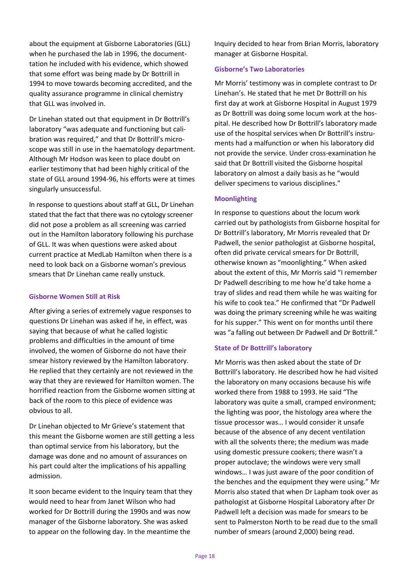about the equipment at Gisborne Laboratories (GLL) when he purchased the lab in 1996, the documenttation he included with his evidence, which showed that some effort was being made by Dr Bottrill in 1994 to move towards becoming accredited, and the quality assurance programme in clinical chemistry that GLL was involved in.

Dr Linehan stated out that equipment in Dr Bottrill's laboratory "was adequate and functioning but calibration was required," and that Dr Bottrill's microscope was still in use in the haematology department. Although Mr Hodson was keen to place doubt on earlier testimony that had been highly critical of the state of GLL around 1994-96, his efforts were at times singularly unsuccessful.

In response to questions about staff at GLL, Dr Linehan stated that the fact that there was no cytology screener did not pose a problem as all screening was carried out in the Hamilton laboratory following his purchase of GLL. It was when questions were asked about current practice at MedLab Hamilton when there is a need to look back on a Gisborne woman's previous smears that Dr Linehan came really unstuck.

## **Gisborne Women Still at Risk**

After giving a series of extremely vague responses to questions Dr Linehan was asked if he, in effect, was saying that because of what he called logistic problems and difficulties in the amount of time involved, the women of Gisborne do not have their smear history reviewed by the Hamilton laboratory. He replied that they certainly are not reviewed in the way that they are reviewed for Hamilton women. The horrified reaction from the Gisborne women sitting at back of the room to this piece of evidence was obvious to all.

Dr Linehan objected to Mr Grieve's statement that this meant the Gisborne women are still getting a less than optimal service from his laboratory, but the damage was done and no amount of assurances on his part could alter the implications of his appalling admission.

It soon became evident to the Inquiry team that they would need to hear from Janet Wilson who had worked for Dr Bottrill during the 1990s and was now manager of the Gisborne laboratory. She was asked to appear on the following day. In the meantime the

Inquiry decided to hear from Brian Morris, laboratory manager at Gisborne Hospital.

## **Gisborne's Two Laboratories**

Mr Morris' testimony was in complete contrast to Dr Linehan's. He stated that he met Dr Bottrill on his first day at work at Gisborne Hospital in August 1979 as Dr Bottrill was doing some locum work at the hospital. He described how Dr Bottrill's laboratory made use of the hospital services when Dr Bottrill's instruments had a malfunction or when his laboratory did not provide the service. Under cross-examination he said that Dr Bottrill visited the Gisborne hospital laboratory on almost a daily basis as he "would deliver specimens to various disciplines."

## **Moonlighting**

In response to questions about the locum work carried out by pathologists from Gisborne hospital for Dr Bottrill's laboratory, Mr Morris revealed that Dr Padwell, the senior pathologist at Gisborne hospital, often did private cervical smears for Dr Bottrill, otherwise known as "moonlighting." When asked about the extent of this, Mr Morris said "I remember Dr Padwell describing to me how he'd take home a tray of slides and read them while he was waiting for his wife to cook tea." He confirmed that "Dr Padwell was doing the primary screening while he was waiting for his supper." This went on for months until there was "a falling out between Dr Padwell and Dr Bottrill."

# **State of Dr Bottrill's laboratory**

Mr Morris was then asked about the state of Dr Bottrill's laboratory. He described how he had visited the laboratory on many occasions because his wife worked there from 1988 to 1993. He said "The laboratory was quite a small, cramped environment; the lighting was poor, the histology area where the tissue processor was… I would consider it unsafe because of the absence of any decent ventilation with all the solvents there; the medium was made using domestic pressure cookers; there wasn't a proper autoclave; the windows were very small windows… I was just aware of the poor condition of the benches and the equipment they were using." Mr Morris also stated that when Dr Lapham took over as pathologist at Gisborne Hospital Laboratory after Dr Padwell left a decision was made for smears to be sent to Palmerston North to be read due to the small number of smears (around 2,000) being read.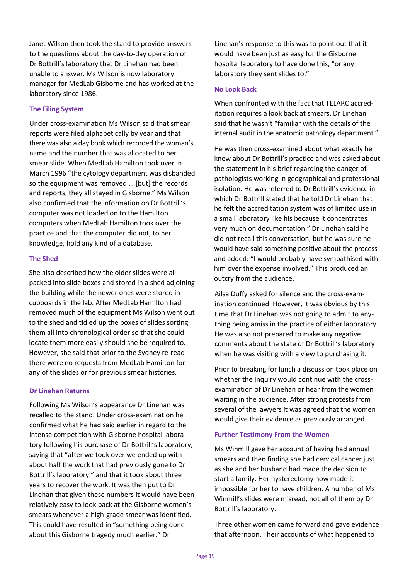Janet Wilson then took the stand to provide answers to the questions about the day-to-day operation of Dr Bottrill's laboratory that Dr Linehan had been unable to answer. Ms Wilson is now laboratory manager for MedLab Gisborne and has worked at the laboratory since 1986.

# **The Filing System**

Under cross-examination Ms Wilson said that smear reports were filed alphabetically by year and that there was also a day book which recorded the woman's name and the number that was allocated to her smear slide. When MedLab Hamilton took over in March 1996 "the cytology department was disbanded so the equipment was removed … [but] the records and reports, they all stayed in Gisborne." Ms Wilson also confirmed that the information on Dr Bottrill's computer was not loaded on to the Hamilton computers when MedLab Hamilton took over the practice and that the computer did not, to her knowledge, hold any kind of a database.

# **The Shed**

She also described how the older slides were all packed into slide boxes and stored in a shed adjoining the building while the newer ones were stored in cupboards in the lab. After MedLab Hamilton had removed much of the equipment Ms Wilson went out to the shed and tidied up the boxes of slides sorting them all into chronological order so that she could locate them more easily should she be required to. However, she said that prior to the Sydney re-read there were no requests from MedLab Hamilton for any of the slides or for previous smear histories.

# **Dr Linehan Returns**

Following Ms Wilson's appearance Dr Linehan was recalled to the stand. Under cross-examination he confirmed what he had said earlier in regard to the intense competition with Gisborne hospital laboratory following his purchase of Dr Bottrill's laboratory, saying that "after we took over we ended up with about half the work that had previously gone to Dr Bottrill's laboratory," and that it took about three years to recover the work. It was then put to Dr Linehan that given these numbers it would have been relatively easy to look back at the Gisborne women's smears whenever a high-grade smear was identified. This could have resulted in "something being done about this Gisborne tragedy much earlier." Dr

Linehan's response to this was to point out that it would have been just as easy for the Gisborne hospital laboratory to have done this, "or any laboratory they sent slides to."

# **No Look Back**

When confronted with the fact that TELARC accreditation requires a look back at smears, Dr Linehan said that he wasn't "familiar with the details of the internal audit in the anatomic pathology department."

He was then cross-examined about what exactly he knew about Dr Bottrill's practice and was asked about the statement in his brief regarding the danger of pathologists working in geographical and professional isolation. He was referred to Dr Bottrill's evidence in which Dr Bottrill stated that he told Dr Linehan that he felt the accreditation system was of limited use in a small laboratory like his because it concentrates very much on documentation." Dr Linehan said he did not recall this conversation, but he was sure he would have said something positive about the process and added: "I would probably have sympathised with him over the expense involved." This produced an outcry from the audience.

Ailsa Duffy asked for silence and the cross-examination continued. However, it was obvious by this time that Dr Linehan was not going to admit to anything being amiss in the practice of either laboratory. He was also not prepared to make any negative comments about the state of Dr Bottrill's laboratory when he was visiting with a view to purchasing it.

Prior to breaking for lunch a discussion took place on whether the Inquiry would continue with the crossexamination of Dr Linehan or hear from the women waiting in the audience. After strong protests from several of the lawyers it was agreed that the women would give their evidence as previously arranged.

# **Further Testimony From the Women**

Ms Winmill gave her account of having had annual smears and then finding she had cervical cancer just as she and her husband had made the decision to start a family. Her hysterectomy now made it impossible for her to have children. A number of Ms Winmill's slides were misread, not all of them by Dr Bottrill's laboratory.

Three other women came forward and gave evidence that afternoon. Their accounts of what happened to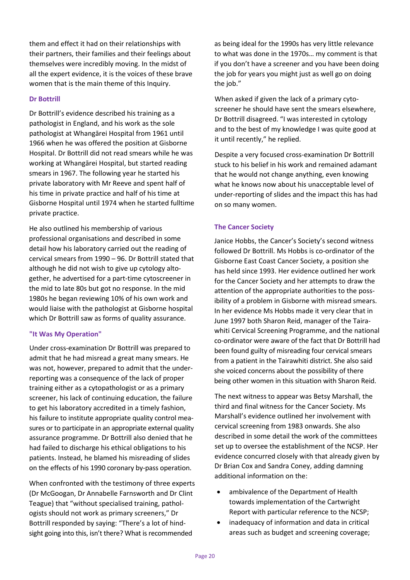them and effect it had on their relationships with their partners, their families and their feelings about themselves were incredibly moving. In the midst of all the expert evidence, it is the voices of these brave women that is the main theme of this Inquiry.

# **Dr Bottrill**

Dr Bottrill's evidence described his training as a pathologist in England, and his work as the sole pathologist at Whangārei Hospital from 1961 until 1966 when he was offered the position at Gisborne Hospital. Dr Bottrill did not read smears while he was working at Whangārei Hospital, but started reading smears in 1967. The following year he started his private laboratory with Mr Reeve and spent half of his time in private practice and half of his time at Gisborne Hospital until 1974 when he started fulltime private practice.

He also outlined his membership of various professional organisations and described in some detail how his laboratory carried out the reading of cervical smears from 1990 – 96. Dr Bottrill stated that although he did not wish to give up cytology altogether, he advertised for a part-time cytoscreener in the mid to late 80s but got no response. In the mid 1980s he began reviewing 10% of his own work and would liaise with the pathologist at Gisborne hospital which Dr Bottrill saw as forms of quality assurance.

## **"It Was My Operation"**

Under cross-examination Dr Bottrill was prepared to admit that he had misread a great many smears. He was not, however, prepared to admit that the underreporting was a consequence of the lack of proper training either as a cytopathologist or as a primary screener, his lack of continuing education, the failure to get his laboratory accredited in a timely fashion, his failure to institute appropriate quality control measures or to participate in an appropriate external quality assurance programme. Dr Bottrill also denied that he had failed to discharge his ethical obligations to his patients. Instead, he blamed his misreading of slides on the effects of his 1990 coronary by-pass operation.

When confronted with the testimony of three experts (Dr McGoogan, Dr Annabelle Farnsworth and Dr Clint Teague) that "without specialised training, pathologists should not work as primary screeners," Dr Bottrill responded by saying: "There's a lot of hindsight going into this, isn't there? What is recommended

as being ideal for the 1990s has very little relevance to what was done in the 1970s… my comment is that if you don't have a screener and you have been doing the job for years you might just as well go on doing the job."

When asked if given the lack of a primary cytoscreener he should have sent the smears elsewhere, Dr Bottrill disagreed. "I was interested in cytology and to the best of my knowledge I was quite good at it until recently," he replied.

Despite a very focused cross-examination Dr Bottrill stuck to his belief in his work and remained adamant that he would not change anything, even knowing what he knows now about his unacceptable level of under-reporting of slides and the impact this has had on so many women.

# **The Cancer Society**

Janice Hobbs, the Cancer's Society's second witness followed Dr Bottrill. Ms Hobbs is co-ordinator of the Gisborne East Coast Cancer Society, a position she has held since 1993. Her evidence outlined her work for the Cancer Society and her attempts to draw the attention of the appropriate authorities to the possibility of a problem in Gisborne with misread smears. In her evidence Ms Hobbs made it very clear that in June 1997 both Sharon Reid, manager of the Tairawhiti Cervical Screening Programme, and the national co-ordinator were aware of the fact that Dr Bottrill had been found guilty of misreading four cervical smears from a patient in the Tairawhiti district. She also said she voiced concerns about the possibility of there being other women in this situation with Sharon Reid.

The next witness to appear was Betsy Marshall, the third and final witness for the Cancer Society. Ms Marshall's evidence outlined her involvement with cervical screening from 1983 onwards. She also described in some detail the work of the committees set up to oversee the establishment of the NCSP. Her evidence concurred closely with that already given by Dr Brian Cox and Sandra Coney, adding damning additional information on the:

- ambivalence of the Department of Health towards implementation of the Cartwright Report with particular reference to the NCSP;
- inadequacy of information and data in critical areas such as budget and screening coverage;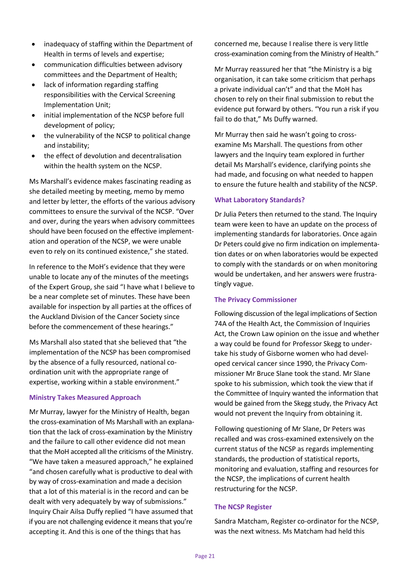- inadequacy of staffing within the Department of Health in terms of levels and expertise;
- communication difficulties between advisory committees and the Department of Health;
- lack of information regarding staffing responsibilities with the Cervical Screening Implementation Unit;
- initial implementation of the NCSP before full development of policy;
- the vulnerability of the NCSP to political change and instability;
- the effect of devolution and decentralisation within the health system on the NCSP.

Ms Marshall's evidence makes fascinating reading as she detailed meeting by meeting, memo by memo and letter by letter, the efforts of the various advisory committees to ensure the survival of the NCSP. "Over and over, during the years when advisory committees should have been focused on the effective implementation and operation of the NCSP, we were unable even to rely on its continued existence," she stated.

In reference to the MoH's evidence that they were unable to locate any of the minutes of the meetings of the Expert Group, she said "I have what I believe to be a near complete set of minutes. These have been available for inspection by all parties at the offices of the Auckland Division of the Cancer Society since before the commencement of these hearings."

Ms Marshall also stated that she believed that "the implementation of the NCSP has been compromised by the absence of a fully resourced, national coordination unit with the appropriate range of expertise, working within a stable environment."

## **Ministry Takes Measured Approach**

Mr Murray, lawyer for the Ministry of Health, began the cross-examination of Ms Marshall with an explanation that the lack of cross-examination by the Ministry and the failure to call other evidence did not mean that the MoH accepted all the criticisms of the Ministry. "We have taken a measured approach," he explained "and chosen carefully what is productive to deal with by way of cross-examination and made a decision that a lot of this material is in the record and can be dealt with very adequately by way of submissions." Inquiry Chair Ailsa Duffy replied "I have assumed that if you are not challenging evidence it means that you're accepting it. And this is one of the things that has

concerned me, because I realise there is very little cross-examination coming from the Ministry of Health."

Mr Murray reassured her that "the Ministry is a big organisation, it can take some criticism that perhaps a private individual can't" and that the MoH has chosen to rely on their final submission to rebut the evidence put forward by others. "You run a risk if you fail to do that," Ms Duffy warned.

Mr Murray then said he wasn't going to crossexamine Ms Marshall. The questions from other lawyers and the Inquiry team explored in further detail Ms Marshall's evidence, clarifying points she had made, and focusing on what needed to happen to ensure the future health and stability of the NCSP.

#### **What Laboratory Standards?**

Dr Julia Peters then returned to the stand. The Inquiry team were keen to have an update on the process of implementing standards for laboratories. Once again Dr Peters could give no firm indication on implementation dates or on when laboratories would be expected to comply with the standards or on when monitoring would be undertaken, and her answers were frustratingly vague.

## **The Privacy Commissioner**

Following discussion of the legal implications of Section 74A of the Health Act, the Commission of Inquiries Act, the Crown Law opinion on the issue and whether a way could be found for Professor Skegg to undertake his study of Gisborne women who had developed cervical cancer since 1990, the Privacy Commissioner Mr Bruce Slane took the stand. Mr Slane spoke to his submission, which took the view that if the Committee of Inquiry wanted the information that would be gained from the Skegg study, the Privacy Act would not prevent the Inquiry from obtaining it.

Following questioning of Mr Slane, Dr Peters was recalled and was cross-examined extensively on the current status of the NCSP as regards implementing standards, the production of statistical reports, monitoring and evaluation, staffing and resources for the NCSP, the implications of current health restructuring for the NCSP.

## **The NCSP Register**

Sandra Matcham, Register co-ordinator for the NCSP, was the next witness. Ms Matcham had held this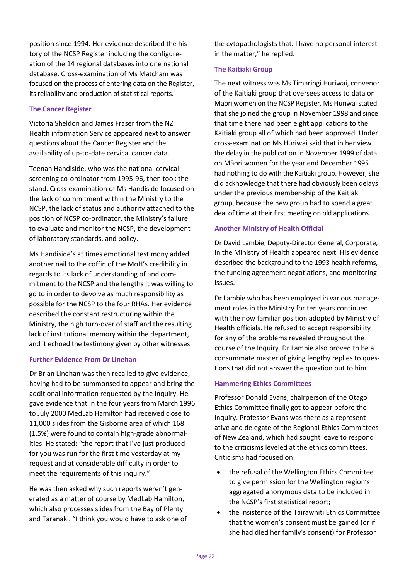position since 1994. Her evidence described the history of the NCSP Register including the configureation of the 14 regional databases into one national database. Cross-examination of Ms Matcham was focused on the process of entering data on the Register, its reliability and production of statistical reports.

## **The Cancer Register**

Victoria Sheldon and James Fraser from the NZ Health information Service appeared next to answer questions about the Cancer Register and the availability of up-to-date cervical cancer data.

Teenah Handiside, who was the national cervical screening co-ordinator from 1995-96, then took the stand. Cross-examination of Ms Handiside focused on the lack of commitment within the Ministry to the NCSP, the lack of status and authority attached to the position of NCSP co-ordinator, the Ministry's failure to evaluate and monitor the NCSP, the development of laboratory standards, and policy.

Ms Handiside's at times emotional testimony added another nail to the coffin of the MoH's credibility in regards to its lack of understanding of and commitment to the NCSP and the lengths it was willing to go to in order to devolve as much responsibility as possible for the NCSP to the four RHAs. Her evidence described the constant restructuring within the Ministry, the high turn-over of staff and the resulting lack of institutional memory within the department, and it echoed the testimony given by other witnesses.

## **Further Evidence From Dr Linehan**

Dr Brian Linehan was then recalled to give evidence, having had to be summonsed to appear and bring the additional information requested by the Inquiry. He gave evidence that in the four years from March 1996 to July 2000 MedLab Hamilton had received close to 11,000 slides from the Gisborne area of which 168 (1.5%) were found to contain high-grade abnormalities. He stated: "the report that I've just produced for you was run for the first time yesterday at my request and at considerable difficulty in order to meet the requirements of this inquiry."

He was then asked why such reports weren't generated as a matter of course by MedLab Hamilton, which also processes slides from the Bay of Plenty and Taranaki. "I think you would have to ask one of the cytopathologists that. I have no personal interest in the matter," he replied.

## **The Kaitiaki Group**

The next witness was Ms Timaringi Huriwai, convenor of the Kaitiaki group that oversees access to data on Māori women on the NCSP Register. Ms Huriwai stated that she joined the group in November 1998 and since that time there had been eight applications to the Kaitiaki group all of which had been approved. Under cross-examination Ms Huriwai said that in her view the delay in the publication in November 1999 of data on Māori women for the year end December 1995 had nothing to do with the Kaitiaki group. However, she did acknowledge that there had obviously been delays under the previous member-ship of the Kaitiaki group, because the new group had to spend a great deal of time at their first meeting on old applications.

# **Another Ministry of Health Official**

Dr David Lambie, Deputy-Director General, Corporate, in the Ministry of Health appeared next. His evidence described the background to the 1993 health reforms, the funding agreement negotiations, and monitoring issues.

Dr Lambie who has been employed in various management roles in the Ministry for ten years continued with the now familiar position adopted by Ministry of Health officials. He refused to accept responsibility for any of the problems revealed throughout the course of the Inquiry. Dr Lambie also proved to be a consummate master of giving lengthy replies to questions that did not answer the question put to him.

# **Hammering Ethics Committees**

Professor Donald Evans, chairperson of the Otago Ethics Committee finally got to appear before the Inquiry. Professor Evans was there as a representative and delegate of the Regional Ethics Committees of New Zealand, which had sought leave to respond to the criticisms leveled at the ethics committees. Criticisms had focused on:

- the refusal of the Wellington Ethics Committee to give permission for the Wellington region's aggregated anonymous data to be included in the NCSP's first statistical report;
- the insistence of the Tairawhiti Ethics Committee that the women's consent must be gained (or if she had died her family's consent) for Professor